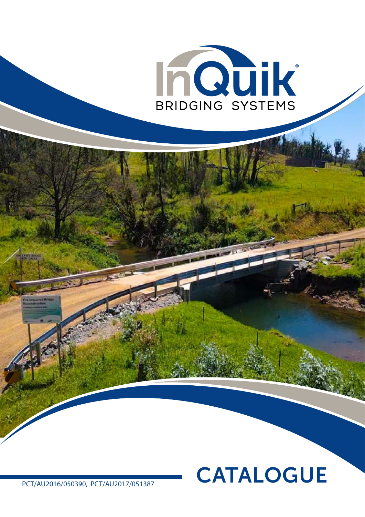

# CATALOGUE

PCT/AU2016/050390, PCT/AU2017/051387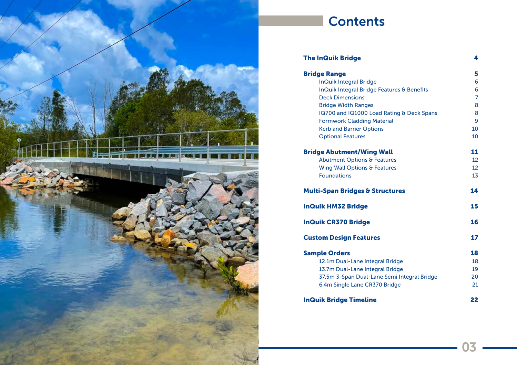

## **Contents**

#### The InQuik Bridge

InQuik Integral Bridge **InQuik Integral Bridge Featu** Deck Dimensions Bridge Width Ranges IQ700 and IQ1000 Load Rati Formwork Cladding Material **Kerb and Barrier Options Optional Features** 

#### **Bridge Abutment/Wing Wall**

Abutment Options & Feature Wing Wall Options & Feature **Foundations** 

#### **Multi-Span Bridges & Structure**

**InQuik HM32 Bridge** 

**InQuik CR370 Bridge** 

### **Custom Design Features**

#### **Sample Orders**

12.1m Dual-Lane Integral Bri 13.7m Dual-Lane Integral Bri 37.5m 3-Span Dual-Lane Ser 6.4m Single Lane CR370 Brid

#### **InQuik Bridge Timeline**

4

#### Bridge Range

|                             | 5         |
|-----------------------------|-----------|
|                             | 6         |
| <b>ures &amp; Benefits</b>  | 6         |
|                             | 7         |
|                             | 8         |
| <b>ing &amp; Deck Spans</b> | 8         |
| ıl                          | 9         |
|                             | 10        |
|                             | 10        |
| l                           | <u>11</u> |
| es                          | 12        |
| es                          | 12        |
|                             | 13        |
| <b>ures</b>                 | 14        |
|                             | 15        |
|                             | 16        |
|                             | 17        |
|                             | 18        |
| idge                        | 18        |
| idge                        | 19        |
| mi Integral Bridge          | 20        |
| dge                         | 21        |
|                             | 22        |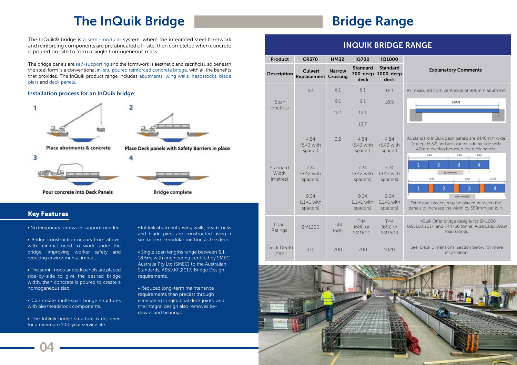

## The InQuik Bridge **Range Range Range Range**

The InQuik® bridge is a semi-modular system, where the integrated steel formwork and reinforcing components are prefabricated off-site, then completed when concrete is poured on-site to form a single homogeneous mass.

The bridge panels are self-supporting and the formwork is aesthetic and sacrificial, so beneath the steel form is a conventional in-situ poured reinforced concrete bridge, with all the benefits that provides. The InQuik product range includes abutments, wing walls, headstocks, blade piers and deck panels.

• No temporary formwork supports needed.

• Bridge construction occurs from above, with minimal need to work under the bridge, improving worker safety and reducing environmental impact.

• The semi-modular deck panels are placed side-by-side to give the desired bridge width, then concrete is poured to create a homogeneous slab.

• Can create multi-span bridge structures with pier/headstock components.

• The InQuik bridge structure is designed for a minimum 100-year service life.

• InQuik abutments, wing walls, headstocks and blade piers are constructed using a similar semi-modular method as the deck.

• Single span lengths range between 6.1- 18.5m, with engineering certified by SMEC Australia Pty Ltd (SMEC) to the Australian Standards, AS5100 (2017) Bridge Design requirements.

• Reduced long-term maintenance requirements than precast through eliminating longitudinal deck joints, and the integral design also removes tiedowns and bearings.

#### Key Features

#### Installation process for an InQuik bridge:









Pour concrete into Deck Panels

## INQUIK BRIDGE RANGE



| <b>Product</b>                | <b>CR370</b>                    | <b>HM32</b>                      | <b>IQ700</b>                        | <b>IQ1000</b>                             |
|-------------------------------|---------------------------------|----------------------------------|-------------------------------------|-------------------------------------------|
| <b>Description</b>            | <b>Culvert</b><br>Replacement   | <b>Narrow</b><br><b>Crossing</b> | <b>Standard</b><br>700-deep<br>deck | <b>Standard</b><br>1000-dee<br>deck       |
|                               | 6.4                             | 6.1                              | 6.1                                 | 16.1                                      |
| Span                          |                                 | 9.1                              | 9.1                                 | 18.5                                      |
| (metres)                      |                                 | 12.1                             | 12.1                                |                                           |
|                               |                                 |                                  | 13.7                                |                                           |
|                               | 4.84<br>(5.43 with<br>spacer)   | 3.2                              | 4.84<br>(5.43 with<br>spacer)       | 4.84<br>(5.43 with<br>spacer)             |
| Standard<br>Width<br>(metres) | 7.24<br>(8.42 with<br>spacers)  |                                  | 7.24<br>(8.42 with<br>spacers)      | 7.24<br>(8.42 with<br>spacers)            |
|                               | 9.64<br>(11.41 with<br>spacers) |                                  | 9.64<br>(11.41 with<br>spacers)     | 9.64<br>$(11.41 \text{ wit})$<br>spacers) |
| Load<br>Ratings               | SM1600                          | <b>T44</b><br>(68t)              | <b>T44</b><br>$(68t)$ or<br>SM1600  | T44<br>$(68t)$ or<br>SM1600               |
| Deck Depth<br>(mm)            | 370                             | 700                              | 700                                 | 1020                                      |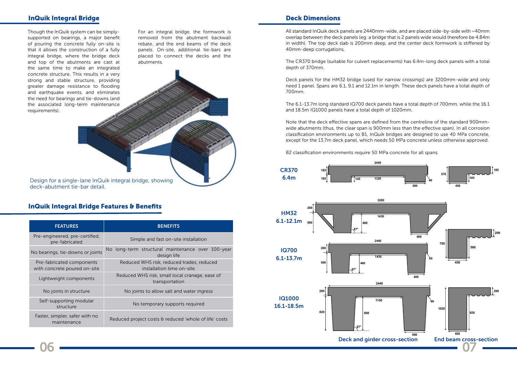#### InQuik Integral Bridge

Design for a single-lane InQuik integral bridge, showing deck-abutment tie-bar detail.

#### InQuik Integral Bridge Features & Benefits

Though the InQuik system can be simplysupported on bearings, a major benefit of pouring the concrete fully on-site is that it allows the construction of a fully integral bridge, where the bridge deck and top of the abutments are cast at the same time to make an integrated concrete structure. This results in a very strong and stable structure, providing greater damage resistance to flooding and earthquake events, and eliminates the need for bearings and tie-downs (and the associated long-term maintenance requirements).

For an integral bridge, the formwork is removed from the abutment backwall rebate, and the end beams of the deck panels. On-site, additional tie-bars are placed to connect the decks and the abutments.

#### Deck Dimensions

All standard InQuik deck panels are 2440mm-wide, and are placed side-by-side with ~40mm overlap between the deck panels (eg: a bridge that is 2 panels wide would therefore be 4.84m in width). The top deck slab is 200mm deep, and the center deck formwork is stiffened by 40mm-deep corrugations.

The CR370 bridge (suitable for culvert replacements) has 6.4m-long deck panels with a total depth of 370mm.

Deck panels for the HM32 bridge (used for narrow crossings) are 3200mm-wide and only need 1 panel. Spans are 6.1, 9.1 and 12.1m in length. These deck panels have a total depth of 700mm.



The 6.1-13.7m long standard IQ700 deck panels have a total depth of 700mm, while the 16.1 and 18.5m IQ1000 panels have a total depth of 1020mm.

Note that the deck effective spans are defined from the centreline of the standard 900mmwide abutments (thus, the clear span is 900mm less than the effective span). In all corrosion classification environments up to B1, InQuik bridges are designed to use 40 MPa concrete, except for the 13.7m deck panel, which needs 50 MPa concrete unless otherwise approved.

B2 classification environments require 50 MPa concrete for all spans.

| <b>FEATURES</b>                                           | <b>BENEFITS</b>                                                        |  |
|-----------------------------------------------------------|------------------------------------------------------------------------|--|
| Pre-engineered, pre-certified,<br>pre-fabricated          | Simple and fast on-site installation                                   |  |
| No bearings, tie-downs or joints                          | No long-term structural maintenance over 100-year<br>design life       |  |
| Pre-fabricated components<br>with concrete poured on-site | Reduced WHS risk, reduced trades, reduced<br>installation time on-site |  |
| Lightweight components                                    | Reduced WHS risk, small local cranage, ease of<br>transportation       |  |
| No joints in structure                                    | No joints to allow salt and water ingress                              |  |
| Self-supporting modular<br>structure                      | No temporary supports required                                         |  |
| Faster, simpler, safer with no<br>maintenance             | Reduced project costs & reduced 'whole of life' costs                  |  |

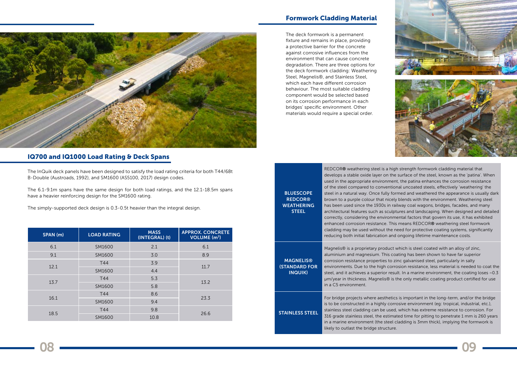

#### IQ700 and IQ1000 Load Rating & Deck Spans

The deck formwork is a permanent fixture and remains in place, providing a protective barrier for the concrete against corrosive influences from the environment that can cause concrete degradation. There are three options for the deck formwork cladding: Weathering Steel, Magnelis®, and Stainless Steel, which each have different corrosion behaviour. The most suitable cladding component would be selected based on its corrosion performance in each bridges' specific environment. Other materials would require a special order.

#### Formwork Cladding Material

**BLUESCOPE** REDCOR® **WEATHERING STEEL** REDCOR® weathering steel is a high strength formwork cladding material that develops a stable oxide layer on the surface of the steel, known as the 'patina'. When used in the appropriate environment, the patina enhances the corrosion resistance of the steel compared to conventional uncoated steels, effectively 'weathering' the steel in a natural way. Once fully formed and weathered the appearance is usually dark brown to a purple colour that nicely blends with the environment. Weathering steel has been used since the 1930s in railway coal wagons, bridges, facades, and many architectural features such as sculptures and landscaping. When designed and detailed correctly, considering the environmental factors that govern its use, it has exhibited enhanced corrosion resistance. This means REDCOR® weathering steel formwork cladding may be used without the need for protective coating systems, significantly reducing both initial fabrication and ongoing lifetime maintenance costs. **MAGNELIS®** (STANDARD FOR INQUIK) Magnelis® is a proprietary product which is steel coated with an alloy of zinc, aluminium and magnesium. This coating has been shown to have far superior corrosion resistance properties to zinc galvanised steel, particularly in salty environments. Due to the high corrosion resistance, less material is needed to coat the steel, and it achieves a superior result. In a marine environment, the coating loses ~0.3 µm/year in thickness. Magnelis® is the only metallic coating product certified for use in a C5 environment. STAINLESS STEEL For bridge projects where aesthetics is important in the long-term, and/or the bridge is to be constructed in a highly corrosive environment (eg: tropical, industrial, etc.), stainless steel cladding can be used, which has extreme resistance to corrosion. For 316 grade stainless steel, the estimated time for pitting to penetrate 1 mm is 260 years in a marine environment (the steel cladding is 3mm thick), implying the formwork is likely to outlast the bridge structure.

08 — — — 09



The InQuik deck panels have been designed to satisfy the load rating criteria for both T44/68t B-Double (Austroads, 1992), and SM1600 (AS5100, 2017) design codes.

The 6.1-9.1m spans have the same design for both load ratings, and the 12.1-18.5m spans have a heavier reinforcing design for the SM1600 rating.

The simply-supported deck design is 0.3-0.5t heavier than the integral design.

| SPAN (m) | <b>LOAD RATING</b> | <b>MASS</b><br>(INTEGRAL) (t) | <b>APPROX. CONCRETE</b><br>VOLUME (m <sup>3</sup> ) |
|----------|--------------------|-------------------------------|-----------------------------------------------------|
| 6.1      | SM1600             | 2.1                           | 6.1                                                 |
| 9.1      | SM1600             | 3.0                           | 8.9                                                 |
| 12.1     | T44                | 3.9                           |                                                     |
|          | SM1600             | 4.4                           | 11.7                                                |
| 13.7     | T44                | 5.3                           | 13.2                                                |
|          | SM1600             | 5.8                           |                                                     |
| 16.1     | T44                | 8.6                           | 23.3                                                |
|          | SM1600             | 9.4                           |                                                     |
| 18.5     | T44                | 9.8                           | 26.6                                                |
|          | SM1600             | 10.8                          |                                                     |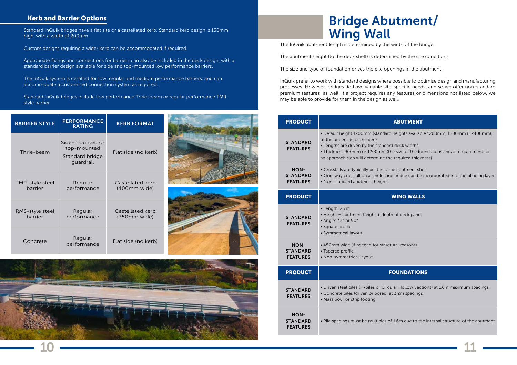

#### Kerb and Barrier Options

Standard InQuik bridges have a flat site or a castellated kerb. Standard kerb design is 150mm high, with a width of 200mm.

Custom designs requiring a wider kerb can be accommodated if required.

Appropriate fixings and connections for barriers can also be included in the deck design, with a standard barrier design available for side and top-mounted low performance barriers.

The InQuik system is certified for low, regular and medium performance barriers, and can accommodate a customised connection system as required.

Standard InQuik bridges include low performance Thrie-beam or regular performance TMRstyle barrier

## Bridge Abutment/ Wing Wall

The InQuik abutment length is determined by the width of the bridge.

The abutment height (to the deck shelf) is determined by the site conditions.

The size and type of foundation drives the pile openings in the abutment.

InQuik prefer to work with standard designs where possible to optimise design and manufacturing processes. However, bridges do have variable site-specific needs, and so we offer non-standard premium features as well. If a project requires any features or dimensions not listed below, we may be able to provide for them in the design as well.

| <b>PRODUCT</b>                                    |                                                                                                                                                                                        |
|---------------------------------------------------|----------------------------------------------------------------------------------------------------------------------------------------------------------------------------------------|
| <b>STANDARD</b><br><b>FEATURES</b>                | · Default height 1200mm (standard I<br>to the underside of the deck<br>• Lengths are driven by the standard<br>· Thickness 900mm or 1200mm (the<br>an approach slab will determine the |
| <b>NON-</b><br><b>STANDARD</b><br><b>FEATURES</b> | • Crossfalls are typically built into the<br>· One-way crossfall on a single lane<br>• Non-standard abutment heights                                                                   |
| <b>PRODUCT</b>                                    |                                                                                                                                                                                        |
| <b>STANDARD</b><br><b>FEATURES</b>                | • Length: 2.7m<br>• Height = abutment height + depth<br>• Angle: 45° or 90°<br>· Square profile<br>· Symmetrical layout                                                                |
| <b>NON-</b><br><b>STANDARD</b><br><b>FEATURES</b> | • 450mm wide (if needed for structu<br>• Tapered profile<br>· Non-symmetrical layout                                                                                                   |
| <b>PRODUCT</b>                                    | F                                                                                                                                                                                      |
| <b>STANDARD</b><br><b>FEATURES</b>                | · Driven steel piles (H-piles or Circul<br>· Concrete piles (driven or bored) at<br>• Mass pour or strip footing                                                                       |
| <b>NON-</b><br><b>STANDARD</b><br><b>FEATURES</b> | · Pile spacings must be multiples of                                                                                                                                                   |

- 
- 
- 

| <b>BARRIER STYLE</b>       | <b>PERFORMANCE</b><br><b>RATING</b>                            | <b>KERB FORMAT</b>               |  |
|----------------------------|----------------------------------------------------------------|----------------------------------|--|
| Thrie-beam                 | Side-mounted or<br>top-mounted<br>Standard bridge<br>guardrail | Flat side (no kerb)              |  |
| TMR-style steel<br>barrier | Regular<br>performance                                         | Castellated kerb<br>(400mm wide) |  |
| RMS-style steel<br>barrier | Regular<br>performance                                         | Castellated kerb<br>(350mm wide) |  |
| Concrete                   | Regular<br>performance                                         | Flat side (no kerb)              |  |

#### **ABUTMENT**

- heights available 1200mm, 1800mm & 2400mm),
- deck widths
- e size of the foundations and/or requirement for required thickness)
- e abutment shelf bridge can be incorporated into the blinding layer

#### **VING WALLS**

- of deck panel
- ral reasons)

#### **OUNDATIONS**

- lar Hollow Sections) at 1.6m maximum spacings 3.2m spacings
- 1.6m due to the internal structure of the abutment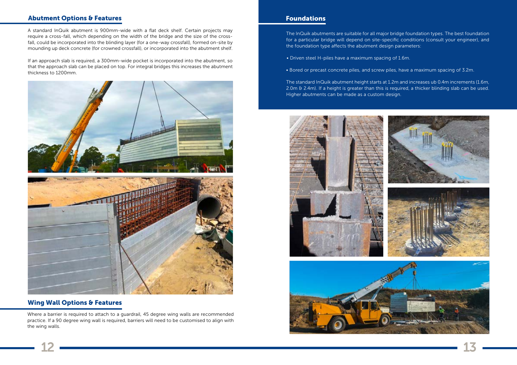

#### Abutment Options & Features

#### Wing Wall Options & Features

Where a barrier is required to attach to a guardrail, 45 degree wing walls are recommended practice. If a 90 degree wing wall is required, barriers will need to be customised to align with the wing walls.

The InQuik abutments are suitable for all major bridge foundation types. The best foundation for a particular bridge will depend on site-specific conditions (consult your engineer), and the foundation type affects the abutment design parameters:

- Driven steel H-piles have a maximum spacing of 1.6m.
- Bored or precast concrete piles, and screw piles, have a maximum spacing of 3.2m.

The standard InQuik abutment height starts at 1.2m and increases ub 0.4m increments (1.6m, 2.0m & 2.4m). If a height is greater than this is required, a thicker blinding slab can be used. Higher abutments can be made as a custom design.





#### Foundations

A standard InQuik abutment is 900mm-wide with a flat deck shelf. Certain projects may require a cross-fall, which depending on the width of the bridge and the size of the crossfall, could be incorporated into the blinding layer (for a one-way crossfall), formed on-site by mounding up deck concrete (for crowned crossfall), or incorporated into the abutment shelf.

If an approach slab is required, a 300mm-wide pocket is incorporated into the abutment, so that the approach slab can be placed on top. For integral bridges this increases the abutment thickness to 1200mm.

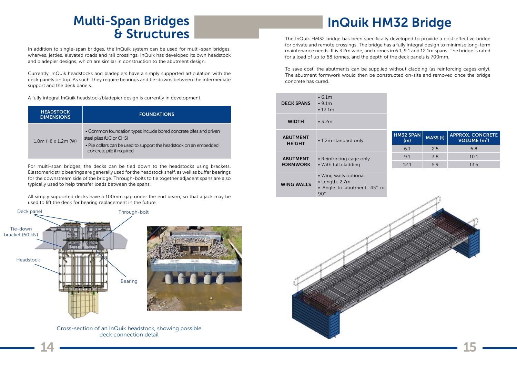

# Multi-Span Bridges **InQuik HM32 Bridge**<br>
8 Structures & Structures The InQuik HM32 bridge has been specifically developed to provide a cost-effective bridge

In addition to single-span bridges, the InQuik system can be used for multi-span bridges, wharves, jetties, elevated roads and rail crossings. InQuik has developed its own headstock and bladepier designs, which are similar in construction to the abutment design.

Currently, InQuik headstocks and bladepiers have a simply supported articulation with the deck panels on top. As such, they require bearings and tie-downs between the intermediate support and the deck panels.

A fully integral InQuik headstock/bladepier design is currently in development.

| <b>HEADSTOCK</b><br><b>DIMENSIONS</b> | <b>FOUNDATIONS</b>                                                                                                                                                                              |
|---------------------------------------|-------------------------------------------------------------------------------------------------------------------------------------------------------------------------------------------------|
| $1.0m$ (H) $\times$ 1.2m (W)          | • Common foundation types include bored concrete piles and driven<br>steel piles (UC or CHS)<br>. Pile collars can be used to support the headstock on an embedded<br>concrete pile if required |

For multi-span bridges, the decks can be tied down to the headstocks using brackets. Elastomeric strip bearings are generally used for the headstock shelf, as well as buffer bearings for the downstream side of the bridge. Through-bolts to tie together adjacent spans are also typically used to help transfer loads between the spans.

All simply supported decks have a 100mm gap under the end beam, so that a jack may be used to lift the deck for bearing replacement in the future.

for private and remote crossings. The bridge has a fully integral design to minimise long-term maintenance needs. It is 3.2m wide, and comes in 6.1, 9.1 and 12.1m spans. The bridge is rated for a load of up to 68 tonnes, and the depth of the deck panels is 700mm.

To save cost, the abutments can be supplied without cladding (as reinforcing cages only). The abutment formwork would then be constructed on-site and removed once the bridge concrete has cured.





| <b>DECK SPANS</b>                | $\cdot$ 6.1m<br>$\cdot$ 9.1 $m$<br>$\cdot$ 12.1 $m$                                  |                         |          |                                                            |
|----------------------------------|--------------------------------------------------------------------------------------|-------------------------|----------|------------------------------------------------------------|
| <b>WIDTH</b>                     | $\cdot$ 3.2m                                                                         |                         |          |                                                            |
| <b>ABUTMENT</b><br><b>HEIGHT</b> | • 1.2m standard only                                                                 | <b>HM32 SPAN</b><br>(m) | MASS (t) | <b>APPROX. CONCRETE</b><br><b>VOLUME</b> (m <sup>3</sup> ) |
|                                  |                                                                                      | 6.1                     | 2.5      | 6.8                                                        |
| <b>ABUTMENT</b>                  | • Reinforcing cage only                                                              | 9.1                     | 3.8      | 10.1                                                       |
| <b>FORMWORK</b>                  | • With full cladding                                                                 | 12.1                    | 5.9      | 13.5                                                       |
| <b>WING WALLS</b>                | • Wing walls optional<br>• Length: 2.7m<br>• Angle to abutment: 45° or<br>$90^\circ$ |                         | . As     |                                                            |

Cross-section of an InQuik headstock, showing possible deck connection detail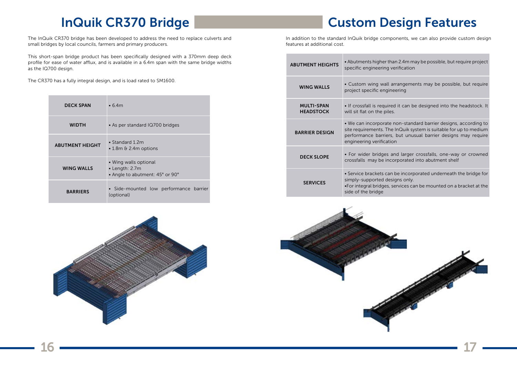## InQuik CR370 Bridge

| <b>DECK SPAN</b>       | $\cdot$ 6.4m                                                               |
|------------------------|----------------------------------------------------------------------------|
| <b>WIDTH</b>           | • As per standard IQ700 bridges                                            |
| <b>ABUTMENT HEIGHT</b> | • Standard 1.2 $m$<br>$\cdot$ 1.8m & 2.4m options                          |
| <b>WING WALLS</b>      | • Wing walls optional<br>• Length: 2.7m<br>• Angle to abutment: 45° or 90° |
| <b>BARRIERS</b>        | · Side-mounted low performance barrier<br>(optional)                       |



The InQuik CR370 bridge has been developed to address the need to replace culverts and small bridges by local councils, farmers and primary producers.

In addition to the standard InQuik bridge components, we can also provide custom design features at additional cost.

This short-span bridge product has been specifically designed with a 370mm deep deck profile for ease of water afflux, and is available in a 6.4m span with the same bridge widths as the IQ700 design.

The CR370 has a fully integral design, and is load rated to SM1600.

## Custom Design Features

han 2.4m may be possible, but require project verification

arrangements may be possible, but require neering

ed it can be designed into the headstock. It

non-standard barrier designs, according to e InQuik system is suitable for up to medium s, but unusual barrier designs may require ion

and larger crossfalls, one-way or crowned corporated into abutment shelf

n be incorporated underneath the bridge for signs only.

services can be mounted on a bracket at the

| <b>ABUTMENT HEIGHTS</b>               | • Abutments higher tha<br>specific engineering ve                                                     |
|---------------------------------------|-------------------------------------------------------------------------------------------------------|
| <b>WING WALLS</b>                     | • Custom wing wall ar<br>project specific engine                                                      |
| <b>MULTI-SPAN</b><br><b>HEADSTOCK</b> | • If crossfall is required<br>will sit flat on the piles.                                             |
| <b>BARRIER DESIGN</b>                 | · We can incorporate r<br>site requirements. The<br>performance barriers,<br>engineering verificatior |
| <b>DECK SLOPE</b>                     | • For wider bridges ar<br>crossfalls may be inco                                                      |
| <b>SERVICES</b>                       | · Service brackets can<br>simply-supported desi<br>•For integral bridges, se<br>side of the bridge    |



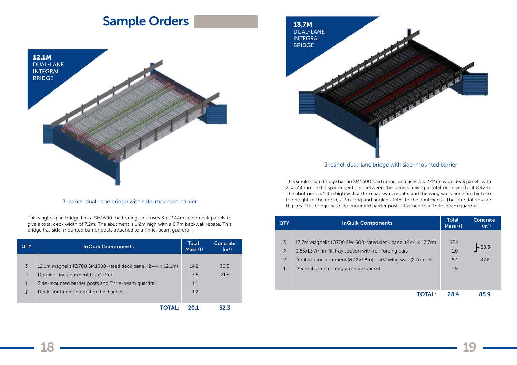13.7M DUAL-LANE INTEGRAL BRIDGE

#### 3-panel, dual-lane bridge with side-mounted barrier

This single-span bridge has an SM1600 load rating, and uses  $3 \times 2.44$ m-wide deck panels with  $2 \times 550$  mm in-fill spacer sections between the panels, giving a total deck width of 8.42m. The abutment is 1.8m high with a 0.7m backwall rebate, and the wing walls are 2.5m high (to the height of the deck), 2.7m long and angled at 45° to the abutments. The foundations are H-piles. This bridge has side-mounted barrier posts attached to a Thrie-beam guardrail.

## Sample Orders

#### 3-panel, dual-lane bridge with side-mounted barrier



This single-span bridge has a SM1600 load rating, and uses  $3 \times 2.44$ m-wide deck panels to give a total deck width of 7.2m. The abutment is 1.2m high with a 0.7m backwall rebate. This bridge has side-mounted barrier posts attached to a Thrie-beam guardrail.

| <b>QTY</b>     | <b>InQuik Components</b>                                           | Total<br>Mass (t) | Concrete<br>(m <sup>3</sup> ) |
|----------------|--------------------------------------------------------------------|-------------------|-------------------------------|
|                |                                                                    |                   |                               |
| $\overline{3}$ | 12.1m Magnelis IQ700 SM1600-rated deck panel (2.44 $\times$ 12.1m) | 14.2              | 30.5                          |
| 2              | Double-lane abutment (7.2x1.2m)                                    | 3.6               | 21.8                          |
| $\mathbf{1}$   | Side-mounted barrier posts and Thrie-beam guardrail                | 1.1               |                               |
| $\mathbf 1$    | Deck-abutment integration tie-bar set                              | 1.2               |                               |
|                |                                                                    |                   |                               |
|                | <b>TOTAL:</b>                                                      | <b>201</b>        | 52.3                          |

| <b>QTY</b>     | <b>InQuik Components</b>                                               | <b>Total</b><br>Mass (t) | <b>Concrete</b><br>(m <sup>3</sup> ) |
|----------------|------------------------------------------------------------------------|--------------------------|--------------------------------------|
|                |                                                                        |                          |                                      |
| 3              | 13.7m Magnelis IQ700 SM1600-rated deck panel (2.44 $\times$ 13.7m)     | 17.4                     |                                      |
| 2              | 0.55x13.7m in-fill tray section with reinforcing bars                  | 1.0                      | $-38.3$                              |
| $\overline{2}$ | Double-lane abutment $(8.42x1.8m) + 45^{\circ}$ wing wall $(2.7m)$ set | 8.1                      | 47.6                                 |
| $\mathbf{1}$   | Deck-abutment integration tie-bar set                                  | 1.9                      |                                      |
|                |                                                                        |                          |                                      |
|                |                                                                        |                          |                                      |
|                | TOTAL:                                                                 | 28.4                     | 85.9                                 |

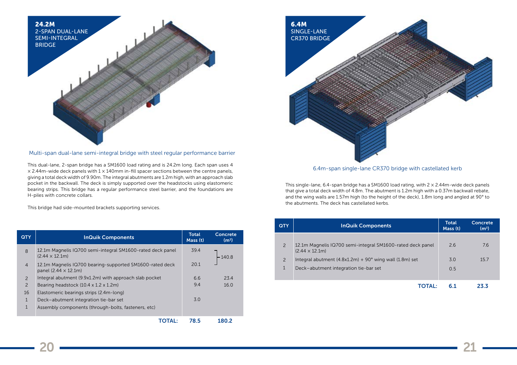

Multi-span dual-lane semi-integral bridge with steel regular performance barrier

This dual-lane, 2-span bridge has a SM1600 load rating and is 24.2m long. Each span uses 4  $\times$  2.44m-wide deck panels with 1  $\times$  140mm in-fill spacer sections between the centre panels, giving a total deck width of 9.90m. The integral abutments are 1.2m high, with an approach slab pocket in the backwall. The deck is simply supported over the headstocks using elastomeric bearing strips. This bridge has a regular performance steel barrier, and the foundations are H-piles with concrete collars.

This bridge had side-mounted brackets supporting services.

This single-lane, 6.4-span bridge has a SM1600 load rating, with  $2 \times 2.44$ m-wide deck panels that give a total deck width of 4.8m. The abutment is 1.2m high with a 0.37m backwall rebate, and the wing walls are 1.57m high (to the height of the deck), 1.8m long and angled at 90° to the abutments. The deck has castellated kerbs.

| <b>QTY</b>     | <b>InQuik Components</b>                                                                | <b>Total</b><br>Mass (t) | <b>Concrete</b><br>(m <sup>3</sup> ) |
|----------------|-----------------------------------------------------------------------------------------|--------------------------|--------------------------------------|
| 8              | 12.1m Magnelis IQ700 semi-integral SM1600-rated deck panel<br>$(2.44 \times 12.1m)$     | 39.4                     | 140.8                                |
| $\overline{4}$ | 12.1m Magnelis IQ700 bearing-supported SM1600-rated deck<br>panel $(2.44 \times 12.1m)$ | 20.1                     |                                      |
| $\overline{2}$ | Integral abutment (9.9x1.2m) with approach slab pocket                                  | 6.6                      | 23.4                                 |
| $\overline{2}$ | Bearing headstock $(10.4 \times 1.2 \times 1.2 \text{m})$                               | 9.4                      | 16.0                                 |
| 16             | Elastomeric bearings strips (2.4m-long)                                                 |                          |                                      |
| $\mathbf{1}$   | Deck-abutment integration tie-bar set                                                   | 3.0                      |                                      |
| $\mathbf{1}$   | Assembly components (through-bolts, fasteners, etc)                                     |                          |                                      |
|                |                                                                                         | 78.5                     | 180.2                                |

#### 6.4m-span single-lane CR370 bridge with castellated kerb



| <b>QTY</b>    | <b>InQuik Components</b>                                                            | <b>Total</b><br>Mass (t) | Concrete<br>(m <sup>3</sup> ) |
|---------------|-------------------------------------------------------------------------------------|--------------------------|-------------------------------|
| 2             | 12.1m Magnelis IQ700 semi-integral SM1600-rated deck panel<br>$(2.44 \times 12.1m)$ | 2.6                      | 7.6                           |
| $\mathcal{P}$ | Integral abutment $(4.8x1.2m) + 90^\circ$ wing wall $(1.8m)$ set                    | 3.0                      | 15.7                          |
| 1             | Deck-abutment integration tie-bar set                                               | 0.5                      |                               |
|               |                                                                                     | 6.1                      | 23.3                          |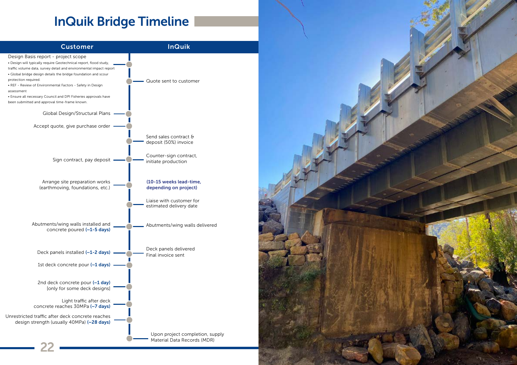

## InQuik Bridge Timeline